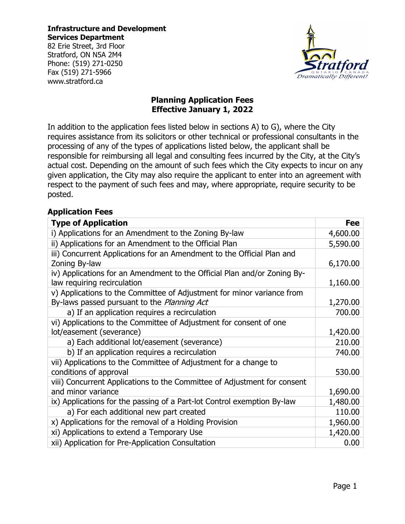**Infrastructure and Development Services Department**

82 Erie Street, 3rd Floor Stratford, ON N5A 2M4 Phone: (519) 271-0250 Fax (519) 271-5966 www.stratford.ca



## **Planning Application Fees Effective January 1, 2022**

In addition to the application fees listed below in sections A) to G), where the City requires assistance from its solicitors or other technical or professional consultants in the processing of any of the types of applications listed below, the applicant shall be responsible for reimbursing all legal and consulting fees incurred by the City, at the City's actual cost. Depending on the amount of such fees which the City expects to incur on any given application, the City may also require the applicant to enter into an agreement with respect to the payment of such fees and may, where appropriate, require security to be posted.

### **Application Fees**

| <b>Type of Application</b>                                                                                            | <b>Fee</b> |
|-----------------------------------------------------------------------------------------------------------------------|------------|
| i) Applications for an Amendment to the Zoning By-law                                                                 | 4,600.00   |
| ii) Applications for an Amendment to the Official Plan                                                                | 5,590.00   |
| iii) Concurrent Applications for an Amendment to the Official Plan and<br>Zoning By-law                               | 6,170.00   |
| iv) Applications for an Amendment to the Official Plan and/or Zoning By-<br>law requiring recirculation               | 1,160.00   |
| v) Applications to the Committee of Adjustment for minor variance from<br>By-laws passed pursuant to the Planning Act | 1,270.00   |
| a) If an application requires a recirculation                                                                         | 700.00     |
| vi) Applications to the Committee of Adjustment for consent of one<br>lot/easement (severance)                        | 1,420.00   |
| a) Each additional lot/easement (severance)                                                                           | 210.00     |
| b) If an application requires a recirculation                                                                         | 740.00     |
| vii) Applications to the Committee of Adjustment for a change to<br>conditions of approval                            | 530.00     |
| viii) Concurrent Applications to the Committee of Adjustment for consent<br>and minor variance                        | 1,690.00   |
| ix) Applications for the passing of a Part-lot Control exemption By-law                                               | 1,480.00   |
| a) For each additional new part created                                                                               | 110.00     |
| x) Applications for the removal of a Holding Provision                                                                | 1,960.00   |
| xi) Applications to extend a Temporary Use                                                                            | 1,420.00   |
| xii) Application for Pre-Application Consultation                                                                     | 0.00       |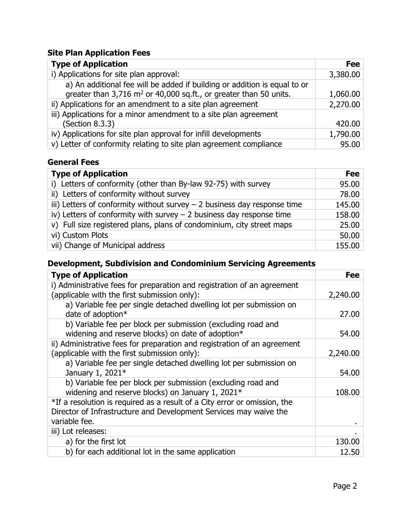# **Site Plan Application Fees**

| <b>Type of Application</b>                                                    | Fee      |
|-------------------------------------------------------------------------------|----------|
| i) Applications for site plan approval:                                       | 3,380.00 |
| a) An additional fee will be added if building or addition is equal to or     |          |
| greater than 3,716 m <sup>2</sup> or 40,000 sq.ft., or greater than 50 units. | 1,060.00 |
| ii) Applications for an amendment to a site plan agreement                    | 2,270.00 |
| iii) Applications for a minor amendment to a site plan agreement              |          |
| (Section 8.3.3)                                                               | 420.00   |
| iv) Applications for site plan approval for infill developments               | 1,790.00 |
| v) Letter of conformity relating to site plan agreement compliance            | 95.00    |

# **General Fees**

| <b>Type of Application</b>                                                 | <b>Fee</b> |
|----------------------------------------------------------------------------|------------|
| i) Letters of conformity (other than By-law 92-75) with survey             | 95.00      |
| ii) Letters of conformity without survey                                   | 78.00      |
| iii) Letters of conformity without survey $-$ 2 business day response time | 145.00     |
| iv) Letters of conformity with survey $-$ 2 business day response time     | 158.00     |
| v) Full size registered plans, plans of condominium, city street maps      |            |
| vi) Custom Plots                                                           | 50.00      |
| vii) Change of Municipal address                                           | 155.00     |

# **Development, Subdivision and Condominium Servicing Agreements**

| <b>Type of Application</b>                                                                                                                                      | Fee      |
|-----------------------------------------------------------------------------------------------------------------------------------------------------------------|----------|
| i) Administrative fees for preparation and registration of an agreement<br>(applicable with the first submission only):                                         | 2,240.00 |
| a) Variable fee per single detached dwelling lot per submission on<br>date of adoption*                                                                         | 27.00    |
| b) Variable fee per block per submission (excluding road and<br>widening and reserve blocks) on date of adoption*                                               | 54.00    |
| ii) Administrative fees for preparation and registration of an agreement<br>(applicable with the first submission only):                                        | 2,240.00 |
| a) Variable fee per single detached dwelling lot per submission on<br>January 1, 2021*                                                                          | 54.00    |
| b) Variable fee per block per submission (excluding road and<br>widening and reserve blocks) on January 1, 2021*                                                | 108.00   |
| *If a resolution is required as a result of a City error or omission, the<br>Director of Infrastructure and Development Services may waive the<br>variable fee. |          |
| iii) Lot releases:                                                                                                                                              |          |
| a) for the first lot                                                                                                                                            | 130.00   |
| b) for each additional lot in the same application                                                                                                              | 12.50    |